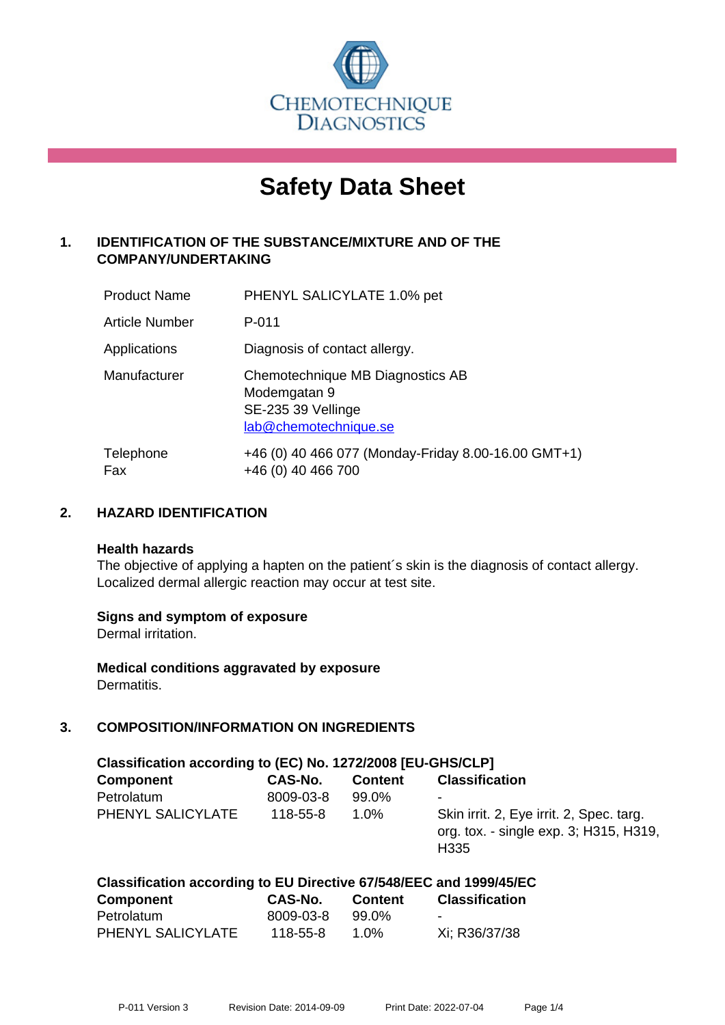

# **Safety Data Sheet**

# **1. IDENTIFICATION OF THE SUBSTANCE/MIXTURE AND OF THE COMPANY/UNDERTAKING**

| <b>Product Name</b> | PHENYL SALICYLATE 1.0% pet                                                                      |
|---------------------|-------------------------------------------------------------------------------------------------|
| Article Number      | $P - 011$                                                                                       |
| Applications        | Diagnosis of contact allergy.                                                                   |
| Manufacturer        | Chemotechnique MB Diagnostics AB<br>Modemgatan 9<br>SE-235 39 Vellinge<br>lab@chemotechnique.se |
| Telephone<br>Fax    | +46 (0) 40 466 077 (Monday-Friday 8.00-16.00 GMT+1)<br>+46 (0) 40 466 700                       |

## **2. HAZARD IDENTIFICATION**

#### **Health hazards**

The objective of applying a hapten on the patient's skin is the diagnosis of contact allergy. Localized dermal allergic reaction may occur at test site.

#### **Signs and symptom of exposure**

Dermal irritation.

**Medical conditions aggravated by exposure** Dermatitis.

# **3. COMPOSITION/INFORMATION ON INGREDIENTS**

| Classification according to (EC) No. 1272/2008 [EU-GHS/CLP] |           |                |                                                                                                        |  |
|-------------------------------------------------------------|-----------|----------------|--------------------------------------------------------------------------------------------------------|--|
| <b>Component</b>                                            | CAS-No.   | <b>Content</b> | <b>Classification</b>                                                                                  |  |
| Petrolatum                                                  | 8009-03-8 | 99.0%          | -                                                                                                      |  |
| PHENYL SALICYLATE                                           | 118-55-8  | $1.0\%$        | Skin irrit. 2, Eye irrit. 2, Spec. targ.<br>org. tox. - single exp. 3; H315, H319,<br>H <sub>335</sub> |  |

| Classification according to EU Directive 67/548/EEC and 1999/45/EC |           |                |                       |  |
|--------------------------------------------------------------------|-----------|----------------|-----------------------|--|
| <b>Component</b>                                                   | CAS-No.   | <b>Content</b> | <b>Classification</b> |  |
| Petrolatum                                                         | 8009-03-8 | 99.0%          | -                     |  |
| PHENYL SALICYLATE                                                  | 118-55-8  | 1.0%           | Xi; R36/37/38         |  |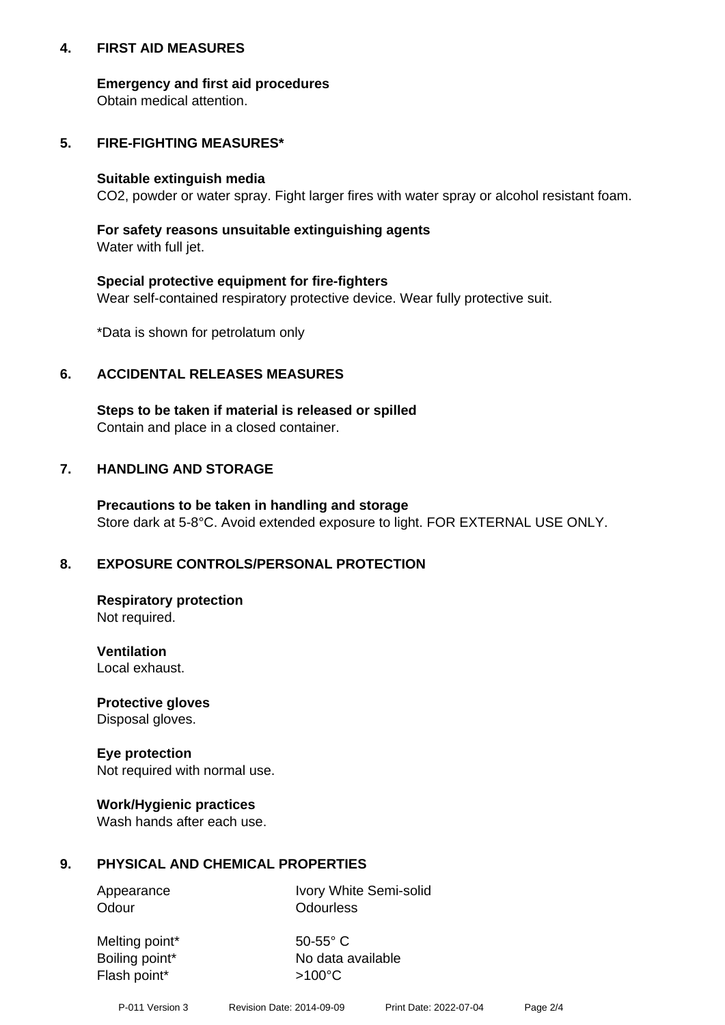## **4. FIRST AID MEASURES**

## **Emergency and first aid procedures**

Obtain medical attention.

# **5. FIRE-FIGHTING MEASURES\***

## **Suitable extinguish media**

CO2, powder or water spray. Fight larger fires with water spray or alcohol resistant foam.

# **For safety reasons unsuitable extinguishing agents**

Water with full jet.

## **Special protective equipment for fire-fighters**

Wear self-contained respiratory protective device. Wear fully protective suit.

\*Data is shown for petrolatum only

## **6. ACCIDENTAL RELEASES MEASURES**

**Steps to be taken if material is released or spilled** Contain and place in a closed container.

# **7. HANDLING AND STORAGE**

**Precautions to be taken in handling and storage** Store dark at 5-8°C. Avoid extended exposure to light. FOR EXTERNAL USE ONLY.

# **8. EXPOSURE CONTROLS/PERSONAL PROTECTION**

**Respiratory protection** Not required.

**Ventilation** Local exhaust.

**Protective gloves** Disposal gloves.

#### **Eye protection** Not required with normal use.

## **Work/Hygienic practices**

Wash hands after each use.

## **9. PHYSICAL AND CHEMICAL PROPERTIES**

Odour **Odourless** 

Appearance Ivory White Semi-solid

Melting point\* 50-55° C Flash point\*  $>100^{\circ}$ C

Boiling point\* No data available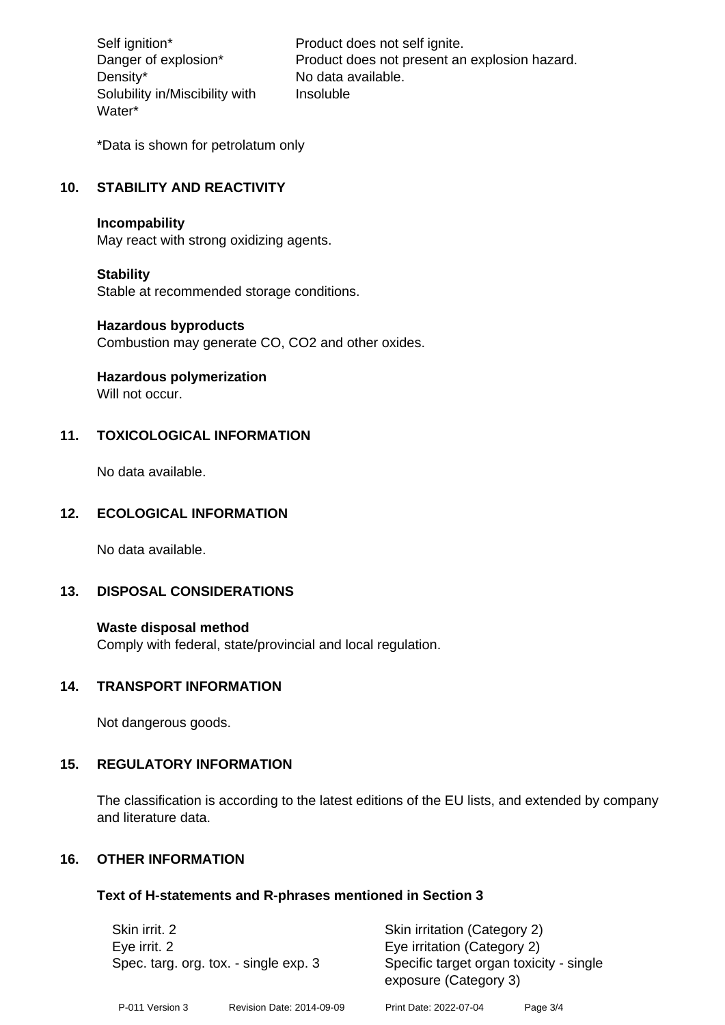Density\* No data available. Solubility in/Miscibility with Water\*

Self ignition\* Product does not self ignite. Danger of explosion\* Product does not present an explosion hazard. Insoluble

\*Data is shown for petrolatum only

# **10. STABILITY AND REACTIVITY**

#### **Incompability**

May react with strong oxidizing agents.

#### **Stability**

Stable at recommended storage conditions.

## **Hazardous byproducts**

Combustion may generate CO, CO2 and other oxides.

**Hazardous polymerization**

Will not occur.

# **11. TOXICOLOGICAL INFORMATION**

No data available.

# **12. ECOLOGICAL INFORMATION**

No data available.

## **13. DISPOSAL CONSIDERATIONS**

#### **Waste disposal method**

Comply with federal, state/provincial and local regulation.

#### **14. TRANSPORT INFORMATION**

Not dangerous goods.

## **15. REGULATORY INFORMATION**

The classification is according to the latest editions of the EU lists, and extended by company and literature data.

## **16. OTHER INFORMATION**

#### **Text of H-statements and R-phrases mentioned in Section 3**

| Skin irrit. 2<br>Eye irrit. 2<br>Spec. targ. org. tox. - single exp. 3 |                           | Skin irritation (Category 2)<br>Eye irritation (Category 2)<br>Specific target organ toxicity - single<br>exposure (Category 3) |          |  |
|------------------------------------------------------------------------|---------------------------|---------------------------------------------------------------------------------------------------------------------------------|----------|--|
| P-011 Version 3                                                        | Revision Date: 2014-09-09 | Print Date: 2022-07-04                                                                                                          | Page 3/4 |  |